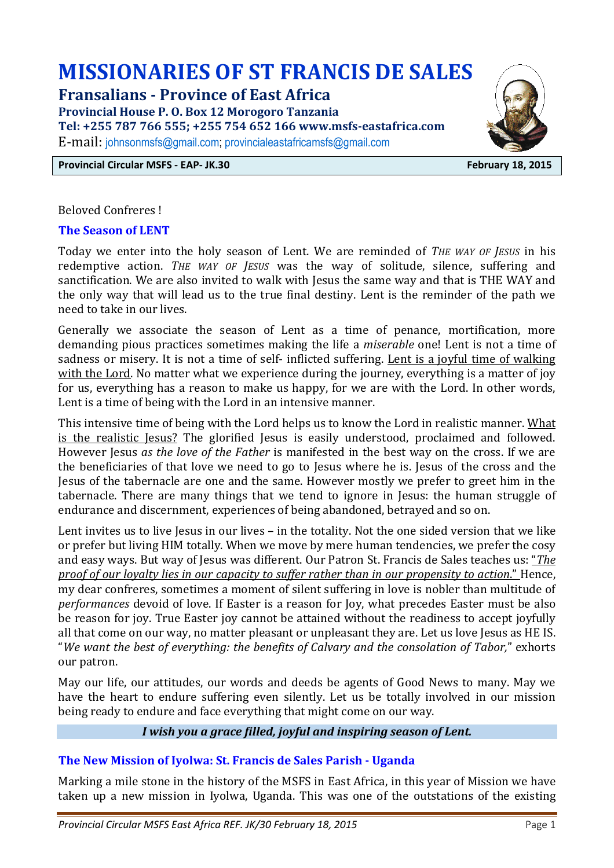# **MISSIONARIES OF ST FRANCIS DE SALES**

**Fransalians - Province of East Africa** 

**Provincial House P. O. Box 12 Morogoro Tanzania** 

**Tel: +255 787 766 555; +255 754 652 166 www.msfs-eastafrica.com** 

E-mail: johnsonmsfs@gmail.com; provincialeastafricamsfs@gmail.com

**Provincial Circular MSFS - EAP- JK.30 February 18, 2015** 



Beloved Confreres !

#### **The Season of LENT**

Today we enter into the holy season of Lent. We are reminded of *THE WAY OF JESUS* in his redemptive action. *THE WAY OF JESUS* was the way of solitude, silence, suffering and sanctification. We are also invited to walk with Jesus the same way and that is THE WAY and the only way that will lead us to the true final destiny. Lent is the reminder of the path we need to take in our lives.

Generally we associate the season of Lent as a time of penance, mortification, more demanding pious practices sometimes making the life a *miserable* one! Lent is not a time of sadness or misery. It is not a time of self- inflicted suffering. Lent is a joyful time of walking with the Lord. No matter what we experience during the journey, everything is a matter of joy for us, everything has a reason to make us happy, for we are with the Lord. In other words, Lent is a time of being with the Lord in an intensive manner.

This intensive time of being with the Lord helps us to know the Lord in realistic manner. What is the realistic Jesus? The glorified Jesus is easily understood, proclaimed and followed. However Jesus *as the love of the Father* is manifested in the best way on the cross. If we are the beneficiaries of that love we need to go to Jesus where he is. Jesus of the cross and the Jesus of the tabernacle are one and the same. However mostly we prefer to greet him in the tabernacle. There are many things that we tend to ignore in Jesus: the human struggle of endurance and discernment, experiences of being abandoned, betrayed and so on.

Lent invites us to live Jesus in our lives – in the totality. Not the one sided version that we like or prefer but living HIM totally. When we move by mere human tendencies, we prefer the cosy and easy ways. But way of Jesus was different. Our Patron St. Francis de Sales teaches us: "*The proof of our loyalty lies in our capacity to suffer rather than in our propensity to action*." Hence, my dear confreres, sometimes a moment of silent suffering in love is nobler than multitude of *performances* devoid of love. If Easter is a reason for Joy, what precedes Easter must be also be reason for joy. True Easter joy cannot be attained without the readiness to accept joyfully all that come on our way, no matter pleasant or unpleasant they are. Let us love Jesus as HE IS. "*We want the best of everything: the benefits of Calvary and the consolation of Tabor,*" exhorts our patron.

May our life, our attitudes, our words and deeds be agents of Good News to many. May we have the heart to endure suffering even silently. Let us be totally involved in our mission being ready to endure and face everything that might come on our way.

## *I wish you a grace filled, joyful and inspiring season of Lent.*

#### **The New Mission of Iyolwa: St. Francis de Sales Parish - Uganda**

Marking a mile stone in the history of the MSFS in East Africa, in this year of Mission we have taken up a new mission in Iyolwa, Uganda. This was one of the outstations of the existing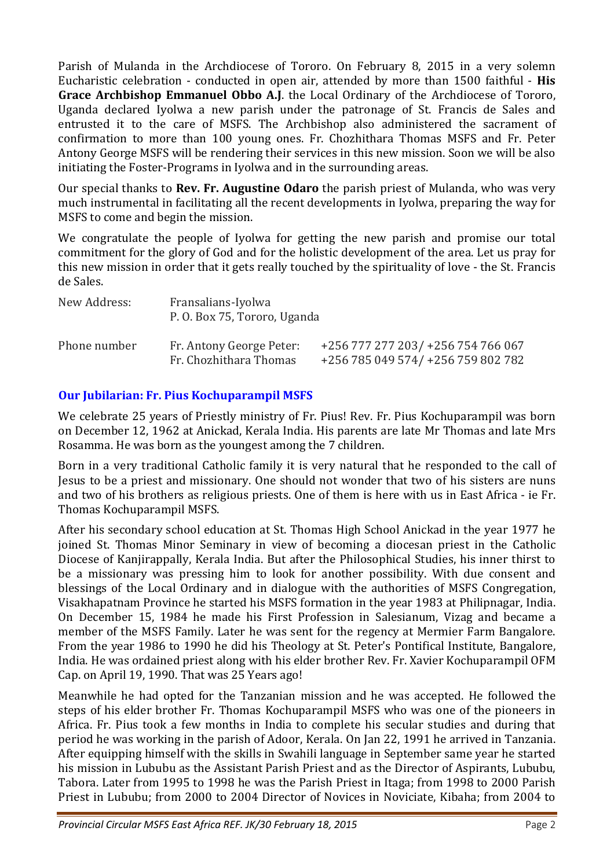Parish of Mulanda in the Archdiocese of Tororo. On February 8, 2015 in a very solemn Eucharistic celebration - conducted in open air, attended by more than 1500 faithful - **His Grace Archbishop Emmanuel Obbo A.J**. the Local Ordinary of the Archdiocese of Tororo, Uganda declared Iyolwa a new parish under the patronage of St. Francis de Sales and entrusted it to the care of MSFS. The Archbishop also administered the sacrament of confirmation to more than 100 young ones. Fr. Chozhithara Thomas MSFS and Fr. Peter Antony George MSFS will be rendering their services in this new mission. Soon we will be also initiating the Foster-Programs in Iyolwa and in the surrounding areas.

Our special thanks to **Rev. Fr. Augustine Odaro** the parish priest of Mulanda, who was very much instrumental in facilitating all the recent developments in Iyolwa, preparing the way for MSFS to come and begin the mission.

We congratulate the people of Iyolwa for getting the new parish and promise our total commitment for the glory of God and for the holistic development of the area. Let us pray for this new mission in order that it gets really touched by the spirituality of love - the St. Francis de Sales.

| New Address: | Fransalians-Iyolwa<br>P. O. Box 75, Tororo, Uganda |                                                                          |
|--------------|----------------------------------------------------|--------------------------------------------------------------------------|
| Phone number | Fr. Antony George Peter:<br>Fr. Chozhithara Thomas | +256 777 277 203/ +256 754 766 067<br>+256 785 049 574/ +256 759 802 782 |

# **Our Jubilarian: Fr. Pius Kochuparampil MSFS**

We celebrate 25 years of Priestly ministry of Fr. Pius! Rev. Fr. Pius Kochuparampil was born on December 12, 1962 at Anickad, Kerala India. His parents are late Mr Thomas and late Mrs Rosamma. He was born as the youngest among the 7 children.

Born in a very traditional Catholic family it is very natural that he responded to the call of Jesus to be a priest and missionary. One should not wonder that two of his sisters are nuns and two of his brothers as religious priests. One of them is here with us in East Africa - ie Fr. Thomas Kochuparampil MSFS.

After his secondary school education at St. Thomas High School Anickad in the year 1977 he joined St. Thomas Minor Seminary in view of becoming a diocesan priest in the Catholic Diocese of Kanjirappally, Kerala India. But after the Philosophical Studies, his inner thirst to be a missionary was pressing him to look for another possibility. With due consent and blessings of the Local Ordinary and in dialogue with the authorities of MSFS Congregation, Visakhapatnam Province he started his MSFS formation in the year 1983 at Philipnagar, India. On December 15, 1984 he made his First Profession in Salesianum, Vizag and became a member of the MSFS Family. Later he was sent for the regency at Mermier Farm Bangalore. From the year 1986 to 1990 he did his Theology at St. Peter's Pontifical Institute, Bangalore, India. He was ordained priest along with his elder brother Rev. Fr. Xavier Kochuparampil OFM Cap. on April 19, 1990. That was 25 Years ago!

Meanwhile he had opted for the Tanzanian mission and he was accepted. He followed the steps of his elder brother Fr. Thomas Kochuparampil MSFS who was one of the pioneers in Africa. Fr. Pius took a few months in India to complete his secular studies and during that period he was working in the parish of Adoor, Kerala. On Jan 22, 1991 he arrived in Tanzania. After equipping himself with the skills in Swahili language in September same year he started his mission in Lububu as the Assistant Parish Priest and as the Director of Aspirants, Lububu, Tabora. Later from 1995 to 1998 he was the Parish Priest in Itaga; from 1998 to 2000 Parish Priest in Lububu; from 2000 to 2004 Director of Novices in Noviciate, Kibaha; from 2004 to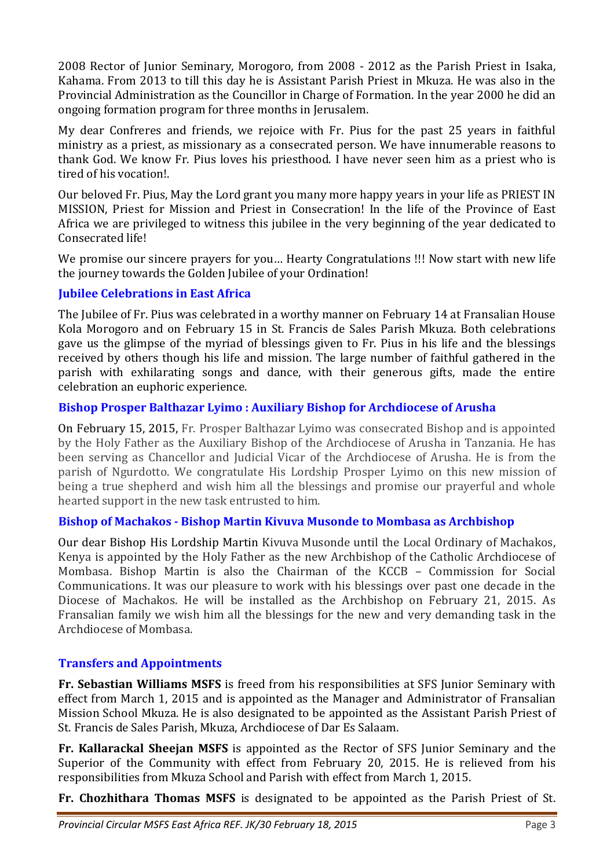2008 Rector of Junior Seminary, Morogoro, from 2008 - 2012 as the Parish Priest in Isaka, Kahama. From 2013 to till this day he is Assistant Parish Priest in Mkuza. He was also in the Provincial Administration as the Councillor in Charge of Formation. In the year 2000 he did an ongoing formation program for three months in Jerusalem.

My dear Confreres and friends, we rejoice with Fr. Pius for the past 25 years in faithful ministry as a priest, as missionary as a consecrated person. We have innumerable reasons to thank God. We know Fr. Pius loves his priesthood. I have never seen him as a priest who is tired of his vocation!.

Our beloved Fr. Pius, May the Lord grant you many more happy years in your life as PRIEST IN MISSION, Priest for Mission and Priest in Consecration! In the life of the Province of East Africa we are privileged to witness this jubilee in the very beginning of the year dedicated to Consecrated life!

We promise our sincere prayers for you… Hearty Congratulations !!! Now start with new life the journey towards the Golden Jubilee of your Ordination!

# **Jubilee Celebrations in East Africa**

The Jubilee of Fr. Pius was celebrated in a worthy manner on February 14 at Fransalian House Kola Morogoro and on February 15 in St. Francis de Sales Parish Mkuza. Both celebrations gave us the glimpse of the myriad of blessings given to Fr. Pius in his life and the blessings received by others though his life and mission. The large number of faithful gathered in the parish with exhilarating songs and dance, with their generous gifts, made the entire celebration an euphoric experience.

## **Bishop Prosper Balthazar Lyimo : Auxiliary Bishop for Archdiocese of Arusha**

On February 15, 2015, Fr. Prosper Balthazar Lyimo was consecrated Bishop and is appointed by the Holy Father as the Auxiliary Bishop of the Archdiocese of Arusha in Tanzania. He has been serving as Chancellor and Judicial Vicar of the Archdiocese of Arusha. He is from the parish of Ngurdotto. We congratulate His Lordship Prosper Lyimo on this new mission of being a true shepherd and wish him all the blessings and promise our prayerful and whole hearted support in the new task entrusted to him.

#### **Bishop of Machakos - Bishop Martin Kivuva Musonde to Mombasa as Archbishop**

Our dear Bishop His Lordship Martin Kivuva Musonde until the Local Ordinary of Machakos, Kenya is appointed by the Holy Father as the new Archbishop of the Catholic Archdiocese of Mombasa. Bishop Martin is also the Chairman of the KCCB – Commission for Social Communications. It was our pleasure to work with his blessings over past one decade in the Diocese of Machakos. He will be installed as the Archbishop on February 21, 2015. As Fransalian family we wish him all the blessings for the new and very demanding task in the Archdiocese of Mombasa.

# **Transfers and Appointments**

**Fr. Sebastian Williams MSFS** is freed from his responsibilities at SFS Junior Seminary with effect from March 1, 2015 and is appointed as the Manager and Administrator of Fransalian Mission School Mkuza. He is also designated to be appointed as the Assistant Parish Priest of St. Francis de Sales Parish, Mkuza, Archdiocese of Dar Es Salaam.

**Fr. Kallarackal Sheejan MSFS** is appointed as the Rector of SFS Junior Seminary and the Superior of the Community with effect from February 20, 2015. He is relieved from his responsibilities from Mkuza School and Parish with effect from March 1, 2015.

**Fr. Chozhithara Thomas MSFS** is designated to be appointed as the Parish Priest of St.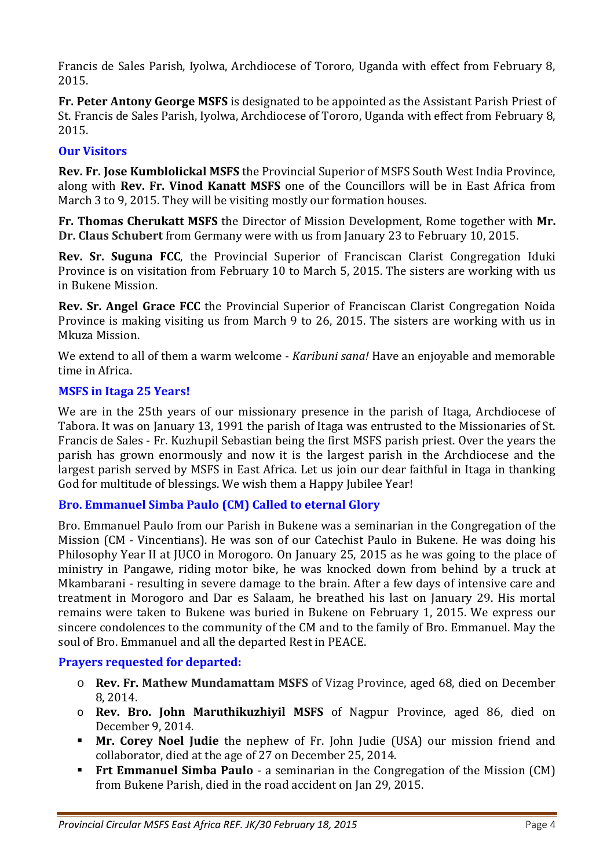Francis de Sales Parish, Iyolwa, Archdiocese of Tororo, Uganda with effect from February 8, 2015.

**Fr. Peter Antony George MSFS** is designated to be appointed as the Assistant Parish Priest of St. Francis de Sales Parish, Iyolwa, Archdiocese of Tororo, Uganda with effect from February 8, 2015.

# **Our Visitors**

**Rev. Fr. Jose Kumblolickal MSFS** the Provincial Superior of MSFS South West India Province, along with **Rev. Fr. Vinod Kanatt MSFS** one of the Councillors will be in East Africa from March 3 to 9, 2015. They will be visiting mostly our formation houses.

**Fr. Thomas Cherukatt MSFS** the Director of Mission Development, Rome together with **Mr. Dr. Claus Schubert** from Germany were with us from January 23 to February 10, 2015.

**Rev. Sr. Suguna FCC**, the Provincial Superior of Franciscan Clarist Congregation Iduki Province is on visitation from February 10 to March 5, 2015. The sisters are working with us in Bukene Mission.

**Rev. Sr. Angel Grace FCC** the Provincial Superior of Franciscan Clarist Congregation Noida Province is making visiting us from March 9 to 26, 2015. The sisters are working with us in Mkuza Mission.

We extend to all of them a warm welcome - *Karibuni sana!* Have an enjoyable and memorable time in Africa.

# **MSFS in Itaga 25 Years!**

We are in the 25th years of our missionary presence in the parish of Itaga, Archdiocese of Tabora. It was on January 13, 1991 the parish of Itaga was entrusted to the Missionaries of St. Francis de Sales - Fr. Kuzhupil Sebastian being the first MSFS parish priest. Over the years the parish has grown enormously and now it is the largest parish in the Archdiocese and the largest parish served by MSFS in East Africa. Let us join our dear faithful in Itaga in thanking God for multitude of blessings. We wish them a Happy Jubilee Year!

# **Bro. Emmanuel Simba Paulo (CM) Called to eternal Glory**

Bro. Emmanuel Paulo from our Parish in Bukene was a seminarian in the Congregation of the Mission (CM - Vincentians). He was son of our Catechist Paulo in Bukene. He was doing his Philosophy Year II at JUCO in Morogoro. On January 25, 2015 as he was going to the place of ministry in Pangawe, riding motor bike, he was knocked down from behind by a truck at Mkambarani - resulting in severe damage to the brain. After a few days of intensive care and treatment in Morogoro and Dar es Salaam, he breathed his last on January 29. His mortal remains were taken to Bukene was buried in Bukene on February 1, 2015. We express our sincere condolences to the community of the CM and to the family of Bro. Emmanuel. May the soul of Bro. Emmanuel and all the departed Rest in PEACE.

#### **Prayers requested for departed:**

- o **Rev. Fr. Mathew Mundamattam MSFS** of Vizag Province, aged 68, died on December 8, 2014.
- o **Rev. Bro. John Maruthikuzhiyil MSFS** of Nagpur Province, aged 86, died on December 9, 2014.
- **Mr. Corey Noel Judie** the nephew of Fr. John Judie (USA) our mission friend and collaborator, died at the age of 27 on December 25, 2014.
- **Frt Emmanuel Simba Paulo** a seminarian in the Congregation of the Mission (CM) from Bukene Parish, died in the road accident on Jan 29, 2015.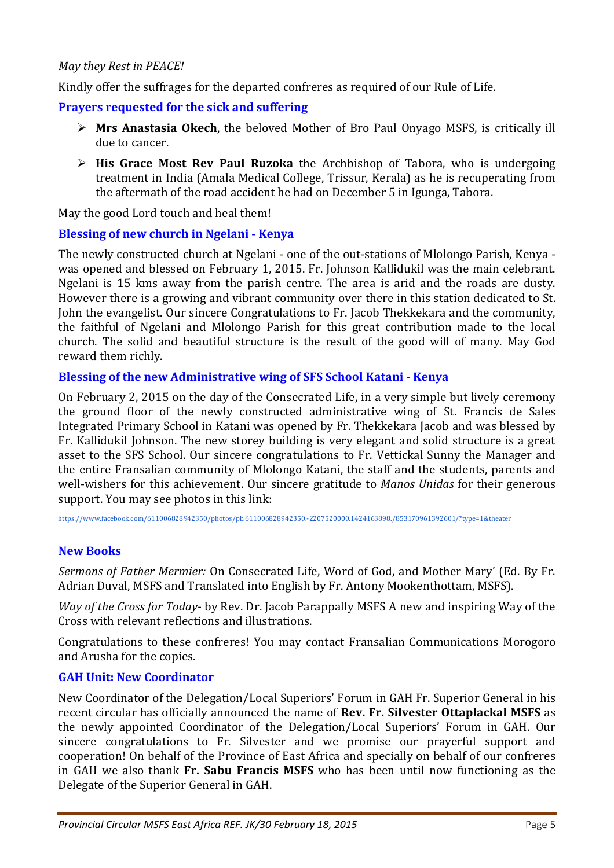#### *May they Rest in PEACE!*

Kindly offer the suffrages for the departed confreres as required of our Rule of Life.

## **Prayers requested for the sick and suffering**

- **Mrs Anastasia Okech**, the beloved Mother of Bro Paul Onyago MSFS, is critically ill due to cancer.
- > His Grace Most Rev Paul Ruzoka the Archbishop of Tabora, who is undergoing treatment in India (Amala Medical College, Trissur, Kerala) as he is recuperating from the aftermath of the road accident he had on December 5 in Igunga, Tabora.

May the good Lord touch and heal them!

## **Blessing of new church in Ngelani - Kenya**

The newly constructed church at Ngelani - one of the out-stations of Mlolongo Parish, Kenya was opened and blessed on February 1, 2015. Fr. Johnson Kallidukil was the main celebrant. Ngelani is 15 kms away from the parish centre. The area is arid and the roads are dusty. However there is a growing and vibrant community over there in this station dedicated to St. John the evangelist. Our sincere Congratulations to Fr. Jacob Thekkekara and the community, the faithful of Ngelani and Mlolongo Parish for this great contribution made to the local church. The solid and beautiful structure is the result of the good will of many. May God reward them richly.

#### **Blessing of the new Administrative wing of SFS School Katani - Kenya**

On February 2, 2015 on the day of the Consecrated Life, in a very simple but lively ceremony the ground floor of the newly constructed administrative wing of St. Francis de Sales Integrated Primary School in Katani was opened by Fr. Thekkekara Jacob and was blessed by Fr. Kallidukil Johnson. The new storey building is very elegant and solid structure is a great asset to the SFS School. Our sincere congratulations to Fr. Vettickal Sunny the Manager and the entire Fransalian community of Mlolongo Katani, the staff and the students, parents and well-wishers for this achievement. Our sincere gratitude to *Manos Unidas* for their generous support. You may see photos in this link:

https://www.facebook.com/611006828942350/photos/pb.611006828942350.-2207520000.1424163898./853170961392601/?type=1&theater

# **New Books**

*Sermons of Father Mermier:* On Consecrated Life, Word of God, and Mother Mary' (Ed. By Fr. Adrian Duval, MSFS and Translated into English by Fr. Antony Mookenthottam, MSFS).

*Way of the Cross for Today*- by Rev. Dr. Jacob Parappally MSFS A new and inspiring Way of the Cross with relevant reflections and illustrations.

Congratulations to these confreres! You may contact Fransalian Communications Morogoro and Arusha for the copies.

#### **GAH Unit: New Coordinator**

New Coordinator of the Delegation/Local Superiors' Forum in GAH Fr. Superior General in his recent circular has officially announced the name of **Rev. Fr. Silvester Ottaplackal MSFS** as the newly appointed Coordinator of the Delegation/Local Superiors' Forum in GAH. Our sincere congratulations to Fr. Silvester and we promise our prayerful support and cooperation! On behalf of the Province of East Africa and specially on behalf of our confreres in GAH we also thank **Fr. Sabu Francis MSFS** who has been until now functioning as the Delegate of the Superior General in GAH.